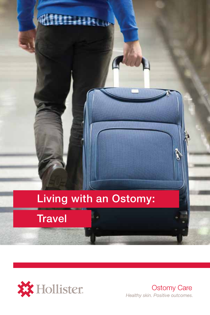# Living with an Ostomy:

**THIISOP** 





**Ostomy Care** Healthy skin. Positive outcomes.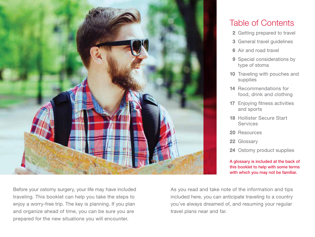

## Table of Contents

- 2 Getting prepared to travel
- 3 General travel guidelines
- 6 Air and road travel
- 9 Special considerations by type of stoma
- 10 Traveling with pouches and supplies
- 14 Recommendations for food, drink and clothing
- 17 Enjoying fitness activities and sports
- 18 Hollister Secure Start **Services**
- 20 Resources
- 22 Glossary
- 24 Ostomy product supplies

A glossary is included at the back of this booklet to help with some terms with which you may not be familiar.

Before your ostomy surgery, your life may have included traveling. This booklet can help you take the steps to enjoy a worry-free trip. The key is planning. If you plan and organize ahead of time, you can be sure you are prepared for the new situations you will encounter.

As you read and take note of the information and tips included here, you can anticipate traveling to a country you've always dreamed of, and resuming your regular travel plans near and far.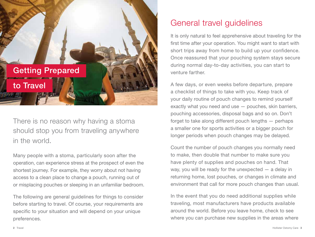

There is no reason why having a stoma should stop you from traveling anywhere in the world.

Many people with a stoma, particularly soon after the operation, can experience stress at the prospect of even the shortest journey. For example, they worry about not having access to a clean place to change a pouch, running out of or misplacing pouches or sleeping in an unfamiliar bedroom.

The following are general guidelines for things to consider before starting to travel. Of course, your requirements are specific to your situation and will depend on your unique preferences.

## General travel guidelines

It is only natural to feel apprehensive about traveling for the first time after your operation. You might want to start with short trips away from home to build up your confidence. Once reassured that your pouching system stays secure during normal day-to-day activities, you can start to venture farther.

A few days, or even weeks before departure, prepare a checklist of things to take with you. Keep track of your daily routine of pouch changes to remind yourself exactly what you need and use — pouches, skin barriers, pouching accessories, disposal bags and so on. Don't forget to take along different pouch lengths — perhaps a smaller one for sports activities or a bigger pouch for longer periods when pouch changes may be delayed.

Count the number of pouch changes you normally need to make, then double that number to make sure you have plenty of supplies and pouches on hand. That way, you will be ready for the unexpected — a delay in returning home, lost pouches, or changes in climate and environment that call for more pouch changes than usual.

In the event that you do need additional supplies while traveling, most manufacturers have products available around the world. Before you leave home, check to see where you can purchase new supplies in the areas where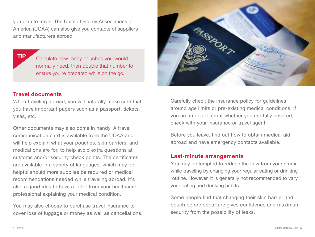you plan to travel. The United Ostomy Associations of America (UOAA) can also give you contacts of suppliers and manufacturers abroad.

TIP Calculate how many pouches you would normally need, then double that number to ensure you're prepared while on the go.

### Travel documents

When traveling abroad, you will naturally make sure that you have important papers such as a passport, tickets, visas, etc.

Other documents may also come in handy. A travel communication card is available from the UOAA and will help explain what your pouches, skin barriers, and medications are for, to help avoid extra questions at customs and/or security check points. The certificates are available in a variety of languages, which may be helpful should more supplies be required or medical recommendations needed while traveling abroad. It's also a good idea to have a letter from your healthcare professional explaining your medical condition.

You may also choose to purchase travel insurance to cover loss of luggage or money as well as cancellations.



Carefully check the insurance policy for guidelines around age limits or pre-existing medical conditions. If you are in doubt about whether you are fully covered, check with your insurance or travel agent.

Before you leave, find out how to obtain medical aid abroad and have emergency contacts available.

### Last-minute arrangements

You may be tempted to reduce the flow from your stoma while traveling by changing your regular eating or drinking routine. However, it is generally not recommended to vary your eating and drinking habits.

Some people find that changing their skin barrier and pouch before departure gives confidence and maximum security from the possibility of leaks.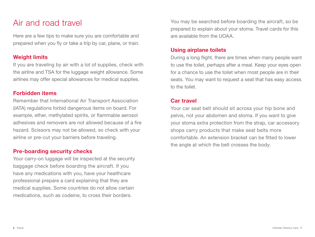## Air and road travel

Here are a few tips to make sure you are comfortable and prepared when you fly or take a trip by car, plane, or train.

## Weight limits

If you are traveling by air with a lot of supplies, check with the airline and TSA for the luggage weight allowance. Some airlines may offer special allowances for medical supplies.

## Forbidden items

Remember that International Air Transport Association (IATA) regulations forbid dangerous items on board. For example, ether, methylated spirits, or flammable aerosol adhesives and removers are not allowed because of a fire hazard. Scissors may not be allowed, so check with your airline or pre-cut your barriers before traveling.

### Pre-boarding security checks

Your carry-on luggage will be inspected at the security baggage check before boarding the aircraft. If you have any medications with you, have your healthcare professional prepare a card explaining that they are medical supplies. Some countries do not allow certain medications, such as codeine, to cross their borders.

You may be searched before boarding the aircraft, so be prepared to explain about your stoma. Travel cards for this are available from the UOAA.

## Using airplane toilets

During a long flight, there are times when many people want to use the toilet, perhaps after a meal. Keep your eyes open for a chance to use the toilet when most people are in their seats. You may want to request a seat that has easy access to the toilet.

## Car travel

Your car seat belt should sit across your hip bone and pelvis, not your abdomen and stoma. If you want to give your stoma extra protection from the strap, car accessory shops carry products that make seat belts more comfortable. An extension bracket can be fitted to lower the angle at which the belt crosses the body.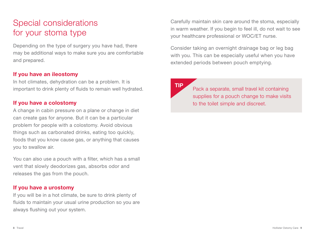## Special considerations for your stoma type

Depending on the type of surgery you have had, there may be additional ways to make sure you are comfortable and prepared.

### If you have an ileostomy

In hot climates, dehydration can be a problem. It is important to drink plenty of fluids to remain well hydrated.

## If you have a colostomy

A change in cabin pressure on a plane or change in diet can create gas for anyone. But it can be a particular problem for people with a colostomy. Avoid obvious things such as carbonated drinks, eating too quickly, foods that you know cause gas, or anything that causes you to swallow air.

You can also use a pouch with a filter, which has a small vent that slowly deodorizes gas, absorbs odor and releases the gas from the pouch.

## If you have a urostomy

If you will be in a hot climate, be sure to drink plenty of fluids to maintain your usual urine production so you are always flushing out your system.

Carefully maintain skin care around the stoma, especially in warm weather. If you begin to feel ill, do not wait to see your healthcare professional or WOC/ET nurse.

Consider taking an overnight drainage bag or leg bag with you. This can be especially useful when you have extended periods between pouch emptying.

TIP<br>Pack a separate, small travel kit containing supplies for a pouch change to make visits to the toilet simple and discreet.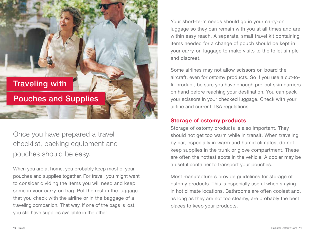Traveling with

Pouches and Supplies

Once you have prepared a travel checklist, packing equipment and pouches should be easy.

When you are at home, you probably keep most of your pouches and supplies together. For travel, you might want to consider dividing the items you will need and keep some in your carry-on bag. Put the rest in the luggage that you check with the airline or in the baggage of a traveling companion. That way, if one of the bags is lost, you still have supplies available in the other.

Your short-term needs should go in your carry-on luggage so they can remain with you at all times and are within easy reach. A separate, small travel kit containing items needed for a change of pouch should be kept in your carry-on luggage to make visits to the toilet simple and discreet.

Some airlines may not allow scissors on board the aircraft, even for ostomy products. So if you use a cut-tofit product, be sure you have enough pre-cut skin barriers on hand before reaching your destination. You can pack your scissors in your checked luggage. Check with your airline and current TSA regulations.

### Storage of ostomy products

Storage of ostomy products is also important. They should not get too warm while in transit. When traveling by car, especially in warm and humid climates, do not keep supplies in the trunk or glove compartment. These are often the hottest spots in the vehicle. A cooler may be a useful container to transport your pouches.

Most manufacturers provide guidelines for storage of ostomy products. This is especially useful when staying in hot climate locations. Bathrooms are often coolest and, as long as they are not too steamy, are probably the best places to keep your products.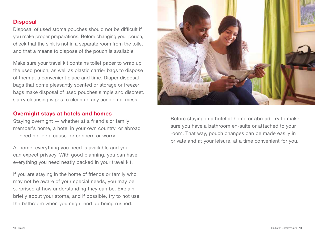### **Disposal**

Disposal of used stoma pouches should not be difficult if you make proper preparations. Before changing your pouch, check that the sink is not in a separate room from the toilet and that a means to dispose of the pouch is available.

Make sure your travel kit contains toilet paper to wrap up the used pouch, as well as plastic carrier bags to dispose of them at a convenient place and time. Diaper disposal bags that come pleasantly scented or storage or freezer bags make disposal of used pouches simple and discreet. Carry cleansing wipes to clean up any accidental mess.

### Overnight stays at hotels and homes

Staying overnight — whether at a friend's or family member's home, a hotel in your own country, or abroad — need not be a cause for concern or worry.

At home, everything you need is available and you can expect privacy. With good planning, you can have everything you need neatly packed in your travel kit.

If you are staying in the home of friends or family who may not be aware of your special needs, you may be surprised at how understanding they can be. Explain briefly about your stoma, and if possible, try to not use the bathroom when you might end up being rushed.



Before staying in a hotel at home or abroad, try to make sure you have a bathroom en-suite or attached to your room. That way, pouch changes can be made easily in private and at your leisure, at a time convenient for you.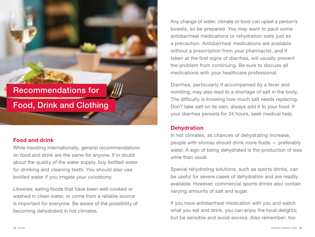## Recommendations for

## Food, Drink and Clothing

### Food and drink

While traveling internationally, general recommendations on food and drink are the same for anyone. If in doubt about the quality of the water supply, buy bottled water for drinking and cleaning teeth. You should also use bottled water if you irrigate your colostomy.

Likewise, eating foods that have been well-cooked or washed in clean water, or come from a reliable source is important for everyone. Be aware of the possibility of becoming dehydrated in hot climates.

Any change of water, climate or food can upset a person's bowels, so be prepared. You may want to pack some antidiarrheal medications or rehydration salts just as a precaution. Antidiarrheal medications are available without a prescription from your pharmacist, and if taken at the first signs of diarrhea, will usually prevent the problem from continuing. Be sure to discuss all medications with your healthcare professional.

Diarrhea, particularly if accompanied by a fever and vomiting, may also lead to a shortage of salt in the body. The difficulty is knowing how much salt needs replacing. Don't take salt on its own, always add it to your food. If your diarrhea persists for 24 hours, seek medical help.

### **Dehydration**

In hot climates, as chances of dehydrating increase, people with stomas should drink more fluids — preferably water. A sign of being dehydrated is the production of less urine than usual.

Special rehydrating solutions, such as sports drinks, can be useful for severe cases of dehydration and are readily available. However, commercial sports drinks also contain varying amounts of salt and sugar.

If you have antidiarrheal medication with you and watch what you eat and drink, you can enjoy the local delights; but be sensible and avoid excess. Also remember: too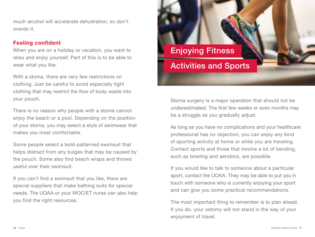much alcohol will accelerate dehydration, so don't overdo it.

## Feeling confident

When you are on a holiday or vacation, you want to relax and enjoy yourself. Part of this is to be able to wear what you like.

With a stoma, there are very few restrictions on clothing. Just be careful to avoid especially tight clothing that may restrict the flow of body waste into your pouch.

There is no reason why people with a stoma cannot enjoy the beach or a pool. Depending on the position of your stoma, you may select a style of swimwear that makes you most comfortable.

Some people select a bold-patterned swimsuit that helps distract from any bulges that may be caused by the pouch. Some also find beach wraps and throws useful over their swimsuit.

If you can't find a swimsuit that you like, there are special suppliers that make bathing suits for special needs. The UOAA or your WOC/ET nurse can also help you find the right resources.



Stoma surgery is a major operation that should not be underestimated. The first few weeks or even months may be a struggle as you gradually adjust.

As long as you have no complications and your healthcare professional has no objection, you can enjoy any kind of sporting activity at home or while you are traveling. Contact sports and those that involve a lot of bending, such as bowling and aerobics, are possible.

If you would like to talk to someone about a particular sport, contact the UOAA. They may be able to put you in touch with someone who is currently enjoying your sport and can give you some practical recommendations.

The most important thing to remember is to plan ahead. If you do, your ostomy will not stand in the way of your enjoyment of travel.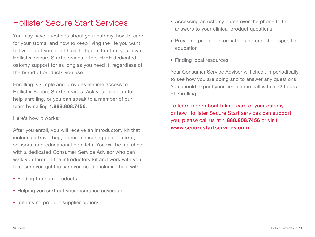## Hollister Secure Start Services

You may have questions about your ostomy, how to care for your stoma, and how to keep living the life you want to live — but you don't have to figure it out on your own. Hollister Secure Start services offers FREE dedicated ostomy support for as long as you need it, regardless of the brand of products you use.

Enrolling is simple and provides lifetime access to Hollister Secure Start services. Ask your clinician for help enrolling, or you can speak to a member of our team by calling 1.888.808.7456.

### Here's how it works:

After you enroll, you will receive an introductory kit that includes a travel bag, stoma measuring guide, mirror, scissors, and educational booklets. You will be matched with a dedicated Consumer Service Advisor who can walk you through the introductory kit and work with you to ensure you get the care you need, including help with:

- Finding the right products
- Helping you sort out your insurance coverage
- Identifying product supplier options
- Accessing an ostomy nurse over the phone to find answers to your clinical product questions
- Providing product information and condition-specific education
- Finding local resources

Your Consumer Service Advisor will check in periodically to see how you are doing and to answer any questions. You should expect your first phone call within 72 hours of enrolling.

To learn more about taking care of your ostomy or how Hollister Secure Start services can support you, please call us at 1.888.808.7456 or visit www.securestartservices.com.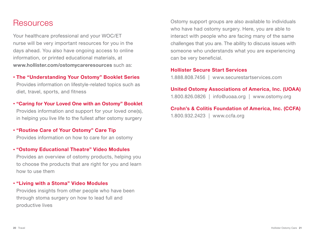## Resources

Your healthcare professional and your WOC/ET nurse will be very important resources for you in the days ahead. You also have ongoing access to online information, or printed educational materials, at www.hollister.com/ostomycareresources such as:

### • The "Understanding Your Ostomy" Booklet Series

Provides information on lifestyle-related topics such as diet, travel, sports, and fitness

- "Caring for Your Loved One with an Ostomy" Booklet Provides information and support for your loved one(s), in helping you live life to the fullest after ostomy surgery
- • "Routine Care of Your Ostomy" Care Tip Provides information on how to care for an ostomy

#### • "Ostomy Educational Theatre" Video Modules

Provides an overview of ostomy products, helping you to choose the products that are right for you and learn how to use them

#### • "Living with a Stoma" Video Modules

Provides insights from other people who have been through stoma surgery on how to lead full and productive lives

Ostomy support groups are also available to individuals who have had ostomy surgery. Here, you are able to interact with people who are facing many of the same challenges that you are. The ability to discuss issues with someone who understands what you are experiencing can be very beneficial.

#### Hollister Secure Start Services

1.888.808.7456 | www.securestartservices.com

## United Ostomy Associations of America, Inc. (UOAA)

1.800.826.0826 | info@uoaa.org | www.ostomy.org

### Crohn's & Colitis Foundation of America, Inc. (CCFA)

1.800.932.2423 | www.ccfa.org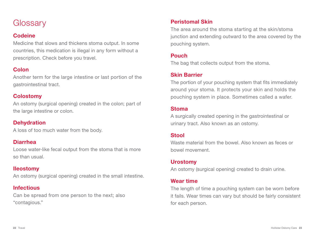## **Glossary**

## **Codeine**

Medicine that slows and thickens stoma output. In some countries, this medication is illegal in any form without a prescription. Check before you travel.

## **Colon**

Another term for the large intestine or last portion of the gastrointestinal tract.

## Colostomy

An ostomy (surgical opening) created in the colon; part of the large intestine or colon.

## **Dehydration**

A loss of too much water from the body.

## Diarrhea

Loose water-like fecal output from the stoma that is more so than usual.

## Ileostomy

An ostomy (surgical opening) created in the small intestine.

## Infectious

Can be spread from one person to the next; also "contagious."

## Peristomal Skin

The area around the stoma starting at the skin/stoma junction and extending outward to the area covered by the pouching system.

## Pouch

The bag that collects output from the stoma.

## Skin Barrier

The portion of your pouching system that fits immediately around your stoma. It protects your skin and holds the pouching system in place. Sometimes called a wafer.

## Stoma

A surgically created opening in the gastrointestinal or urinary tract. Also known as an ostomy.

## **Stool**

Waste material from the bowel. Also known as feces or bowel movement.

## Urostomy

An ostomy (surgical opening) created to drain urine.

## Wear time

The length of time a pouching system can be worn before it fails. Wear times can vary but should be fairly consistent for each person.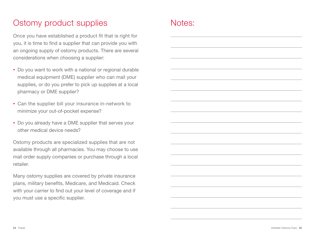# Ostomy product supplies

Once you have established a product fit that is right for you, it is time to find a supplier that can provide you with an ongoing supply of ostomy products. There are several considerations when choosing a supplier:

- Do you want to work with a national or regional durable medical equipment (DME) supplier who can mail your supplies, or do you prefer to pick up supplies at a local pharmacy or DME supplier?
- Can the supplier bill your insurance in-network to minimize your out-of-pocket expense?
- Do you already have a DME supplier that serves your other medical device needs?

Ostomy products are specialized supplies that are not available through all pharmacies. You may choose to use mail order supply companies or purchase through a local retailer.

Many ostomy supplies are covered by private insurance plans, military benefits, Medicare, and Medicaid. Check with your carrier to find out your level of coverage and if you must use a specific supplier.

## Notes: